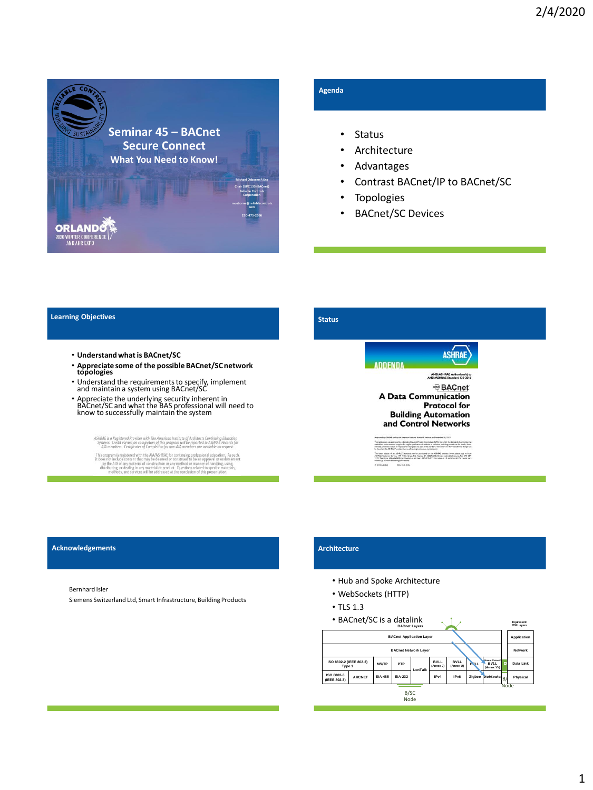

## **Agenda**

- Status
- **Architecture**
- Advantages
- Contrast BACnet/IP to BACnet/SC
- Topologies
- BACnet/SC Devices

### **Learning Objectives**

- **Understand what is BACnet/SC**
- **Appreciate some of the possible BACnet/SC network topologies**
- Understand the requirements to specify, implement and maintain a system using BACnet/SC
- Appreciate the underlying security inherent in BACnet/SC and what the BAS professional will need to know to successfully maintain the system

ASHRAE is a Registered Provider with The American Institute of Architects Continuing Education<br>Systems. Credit earned on completion of this program will be reported to ASHRAE Records for<br>AIA members. Certificates of Comple

Mis program is registered with the ANA/SHRAE for continuing professional education. As such, this program is registered with the ANA/SHRAE for constructing professional education. As such, the dose of the matter of the con

## **Status**



The attention was approved by a Sanding Standard Project Committee (SIPC) for which the Standards Committee is<br>usually and about many population for expain politically of Midwish or modeling providers for timely, close re The items editor of an AB/BAI Standard may be parchased on the AB/BAI verbits (were advancing) or from<br>AB/BAI Cantone: Seven. 1791 Talks Crobs, NE, Astens, GA 30229-2005. Event: orders@advan.org. Fax: 678-529<br>1129. Talgstr

#### **Acknowledgements**

Bernhard Isler

Siemens Switzerland Ltd, Smart Infrastructure, Building Products

## **Architecture**

- Hub and Spoke Architecture
- WebSockets (HTTP)
- TLS 1.3
- BACnet/SC is a datalink **BACnet Layers**



**Equivalent**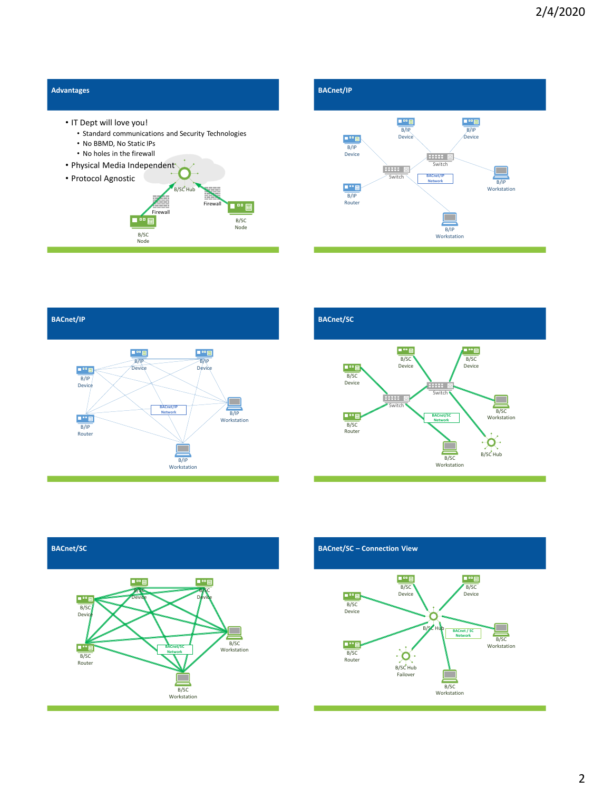





# **BACnet/SC**





### **BACnet/SC – Connection View**

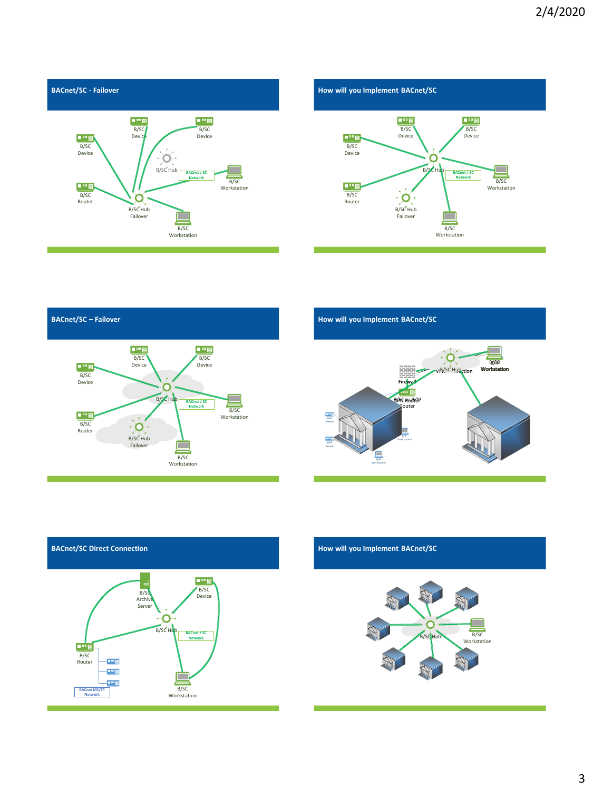





**How will you Implement BACnet/SC**





**How will you Implement BACnet/SC**